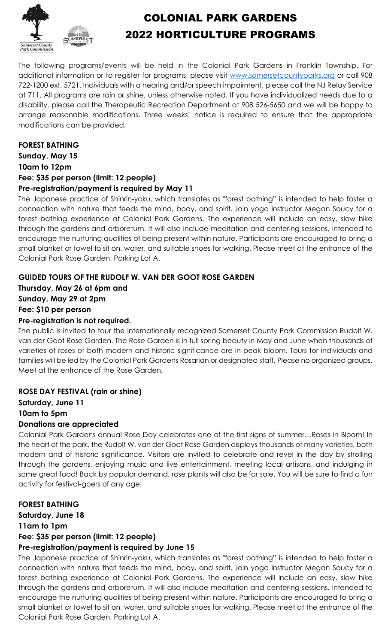

# COLONIAL PARK GARDENS 2022 HORTICULTURE PROGRAMS

The following programs/events will be held in the Colonial Park Gardens in Franklin Township. For additional information or to register for programs, please visit [www.somersetcountyparks.org](http://www.somersetcountyparks.org/) or call 908 722-1200 ext. 5721. Individuals with a hearing and/or speech impairment, please call the NJ Relay Service at 711. All programs are rain or shine, unless otherwise noted. If you have individualized needs due to a disability, please call the Therapeutic Recreation Department at 908 526-5650 and we will be happy to arrange reasonable modifications. Three weeks' notice is required to ensure that the appropriate modifications can be provided.

### **FOREST BATHING**

**Sunday, May 15 10am to 12pm** 

# **Fee: \$35 per person (limit: 12 people)**

#### **Pre-registration/payment is required by May 11**

The Japanese practice of Shinrin-yoku, which translates as "forest bathing" is intended to help foster a connection with nature that feeds the mind, body, and spirit. Join yoga instructor Megan Soucy for a forest bathing experience at Colonial Park Gardens. The experience will include an easy, slow hike through the gardens and arboretum. It will also include meditation and centering sessions, intended to encourage the nurturing qualities of being present within nature. Participants are encouraged to bring a small blanket or towel to sit on, water, and suitable shoes for walking. Please meet at the entrance of the Colonial Park Rose Garden, Parking Lot A.

# **GUIDED TOURS OF THE RUDOLF W. VAN DER GOOT ROSE GARDEN**

**Thursday, May 26 at 6pm and Sunday, May 29 at 2pm Fee: \$10 per person**

#### **Pre-registration is not required.**

The public is invited to tour the internationally recognized Somerset County Park Commission Rudolf W. van der Goot Rose Garden. The Rose Garden is in full spring beauty in May and June when thousands of varieties of roses of both modern and historic significance are in peak bloom. Tours for individuals and families will be led by the Colonial Park Gardens Rosarian or designated staff. Please no organized groups. Meet at the entrance of the Rose Garden.

# **ROSE DAY FESTIVAL (rain or shine)**

**Saturday, June 11 10am to 5pm**

# **Donations are appreciated**

Colonial Park Gardens annual Rose Day celebrates one of the first signs of summer…Roses in Bloom! In the heart of the park, the Rudolf W. van der Goot Rose Garden displays thousands of many varieties, both modern and of historic significance. Visitors are invited to celebrate and revel in the day by strolling through the gardens, enjoying music and live entertainment, meeting local artisans, and indulging in some great food! Back by popular demand, rose plants will also be for sale. You will be sure to find a fun activity for festival-goers of any age!

# **FOREST BATHING**

**Saturday, June 18 11am to 1pm Fee: \$35 per person (limit: 12 people) Pre-registration/payment is required by June 15**

The Japanese practice of Shinrin-yoku, which translates as "forest bathing" is intended to help foster a connection with nature that feeds the mind, body, and spirit. Join yoga instructor Megan Soucy for a forest bathing experience at Colonial Park Gardens. The experience will include an easy, slow hike through the gardens and arboretum. It will also include meditation and centering sessions, intended to encourage the nurturing qualities of being present within nature. Participants are encouraged to bring a small blanket or towel to sit on, water, and suitable shoes for walking. Please meet at the entrance of the Colonial Park Rose Garden, Parking Lot A.